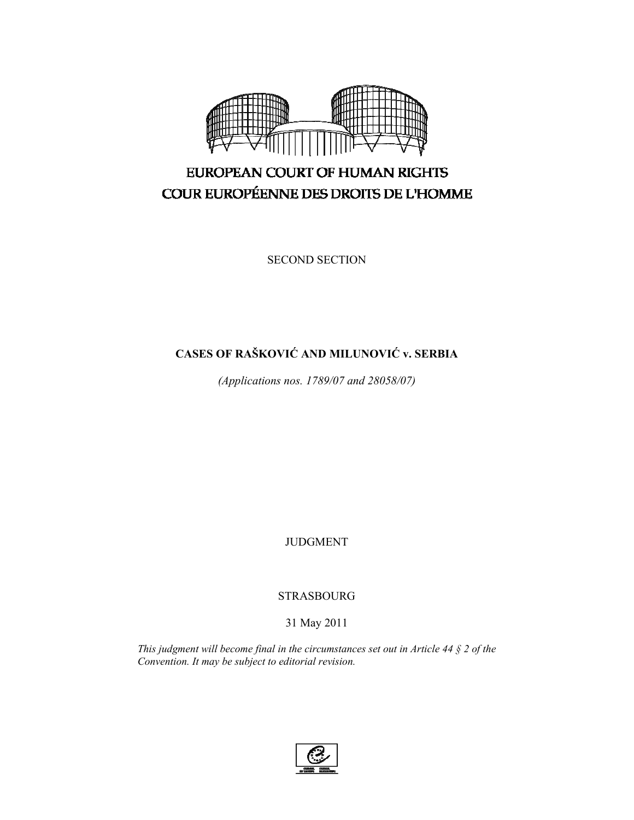

# EUROPEAN COURT OF HUMAN RIGHTS COUR EUROPÉENNE DES DROITS DE L'HOMME

SECOND SECTION

# **CASES OF RAŠKOVIĆ AND MILUNOVIĆ v. SERBIA**

*(Applications nos. 1789/07 and 28058/07)* 

JUDGMENT

STRASBOURG

## 31 May 2011

*This judgment will become final in the circumstances set out in Article 44 § 2 of the Convention. It may be subject to editorial revision.*

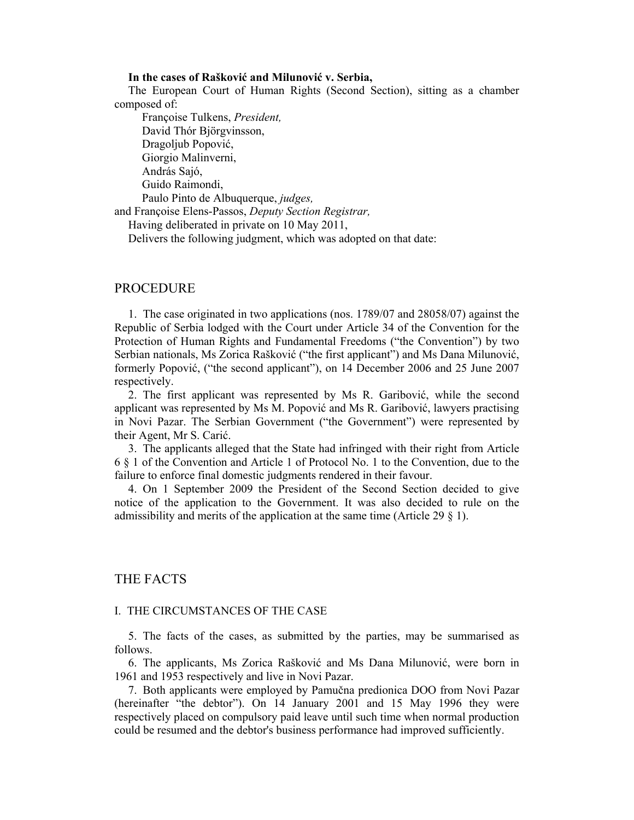## **In the cases of Rašković and Milunović v. Serbia,**

The European Court of Human Rights (Second Section), sitting as a chamber composed of:

 Françoise Tulkens, *President,*  David Thór Björgvinsson, Dragoljub Popović, Giorgio Malinverni, András Sajó, Guido Raimondi, Paulo Pinto de Albuquerque, *judges,*

and Françoise Elens-Passos, *Deputy Section Registrar,*

Having deliberated in private on 10 May 2011,

Delivers the following judgment, which was adopted on that date:

## PROCEDURE

1. The case originated in two applications (nos. 1789/07 and 28058/07) against the Republic of Serbia lodged with the Court under Article 34 of the Convention for the Protection of Human Rights and Fundamental Freedoms ("the Convention") by two Serbian nationals, Ms Zorica Rašković ("the first applicant") and Ms Dana Milunović, formerly Popović, ("the second applicant"), on 14 December 2006 and 25 June 2007 respectively.

2. The first applicant was represented by Ms R. Garibović, while the second applicant was represented by Ms M. Popović and Ms R. Garibović, lawyers practising in Novi Pazar. The Serbian Government ("the Government") were represented by their Agent, Mr S. Carić.

3. The applicants alleged that the State had infringed with their right from Article 6 § 1 of the Convention and Article 1 of Protocol No. 1 to the Convention, due to the failure to enforce final domestic judgments rendered in their favour.

4. On 1 September 2009 the President of the Second Section decided to give notice of the application to the Government. It was also decided to rule on the admissibility and merits of the application at the same time (Article 29 § 1).

## THE FACTS

## I. THE CIRCUMSTANCES OF THE CASE

5. The facts of the cases, as submitted by the parties, may be summarised as follows.

6. The applicants, Ms Zorica Rašković and Ms Dana Milunović, were born in 1961 and 1953 respectively and live in Novi Pazar.

7. Both applicants were employed by Pamučna predionica DOO from Novi Pazar (hereinafter "the debtor"). On 14 January 2001 and 15 May 1996 they were respectively placed on compulsory paid leave until such time when normal production could be resumed and the debtor's business performance had improved sufficiently.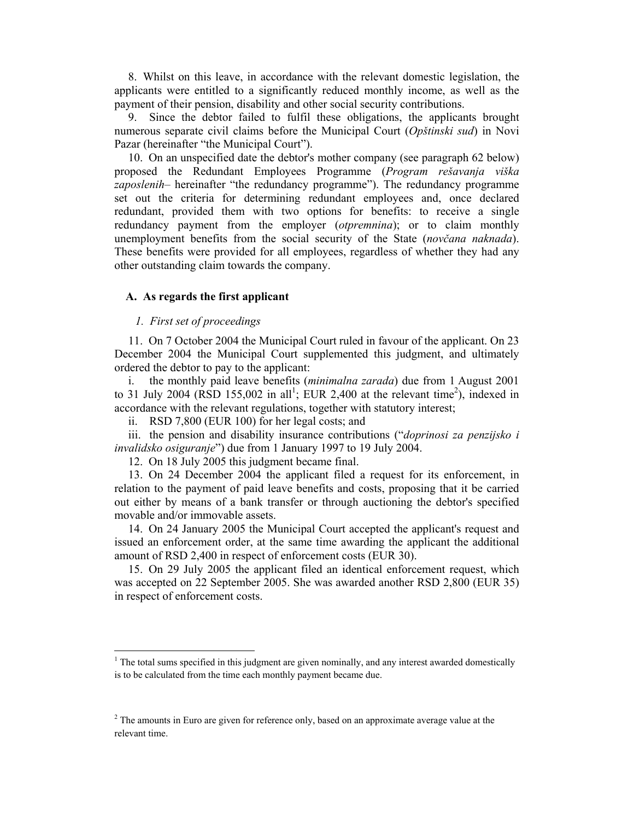8. Whilst on this leave, in accordance with the relevant domestic legislation, the applicants were entitled to a significantly reduced monthly income, as well as the payment of their pension, disability and other social security contributions.

9. Since the debtor failed to fulfil these obligations, the applicants brought numerous separate civil claims before the Municipal Court (*Opštinski sud*) in Novi Pazar (hereinafter "the Municipal Court").

10. On an unspecified date the debtor's mother company (see paragraph 62 below) proposed the Redundant Employees Programme (*Program rešavanja viška zaposlenih–* hereinafter "the redundancy programme"). The redundancy programme set out the criteria for determining redundant employees and, once declared redundant, provided them with two options for benefits: to receive a single redundancy payment from the employer (*otpremnina*); or to claim monthly unemployment benefits from the social security of the State (*novčana naknada*). These benefits were provided for all employees, regardless of whether they had any other outstanding claim towards the company.

## **A. As regards the first applicant**

#### *1. First set of proceedings*

11. On 7 October 2004 the Municipal Court ruled in favour of the applicant. On 23 December 2004 the Municipal Court supplemented this judgment, and ultimately ordered the debtor to pay to the applicant:

i. the monthly paid leave benefits (*minimalna zarada*) due from 1 August 2001 to 31 July 2004 (RSD 155,002 in all<sup>1</sup>; EUR 2,400 at the relevant time<sup>2</sup>), indexed in accordance with the relevant regulations, together with statutory interest;

ii. RSD 7,800 (EUR 100) for her legal costs; and

iii. the pension and disability insurance contributions ("*doprinosi za penzijsko i invalidsko osiguranje*") due from 1 January 1997 to 19 July 2004.

12. On 18 July 2005 this judgment became final.

13. On 24 December 2004 the applicant filed a request for its enforcement, in relation to the payment of paid leave benefits and costs, proposing that it be carried out either by means of a bank transfer or through auctioning the debtor's specified movable and/or immovable assets.

14. On 24 January 2005 the Municipal Court accepted the applicant's request and issued an enforcement order, at the same time awarding the applicant the additional amount of RSD 2,400 in respect of enforcement costs (EUR 30).

15. On 29 July 2005 the applicant filed an identical enforcement request, which was accepted on 22 September 2005. She was awarded another RSD 2,800 (EUR 35) in respect of enforcement costs.

<sup>&</sup>lt;sup>1</sup> The total sums specified in this judgment are given nominally, and any interest awarded domestically is to be calculated from the time each monthly payment became due.

 $2^{2}$  The amounts in Euro are given for reference only, based on an approximate average value at the relevant time.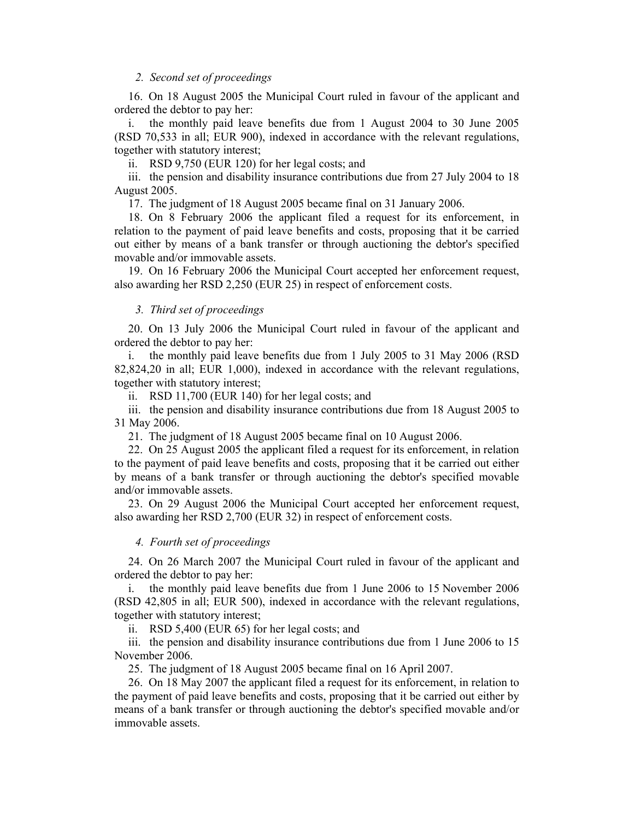## *2. Second set of proceedings*

16. On 18 August 2005 the Municipal Court ruled in favour of the applicant and ordered the debtor to pay her:

i. the monthly paid leave benefits due from 1 August 2004 to 30 June 2005 (RSD 70,533 in all; EUR 900), indexed in accordance with the relevant regulations, together with statutory interest;

ii. RSD 9,750 (EUR 120) for her legal costs; and

iii. the pension and disability insurance contributions due from 27 July 2004 to 18 August 2005.

17. The judgment of 18 August 2005 became final on 31 January 2006.

18. On 8 February 2006 the applicant filed a request for its enforcement, in relation to the payment of paid leave benefits and costs, proposing that it be carried out either by means of a bank transfer or through auctioning the debtor's specified movable and/or immovable assets.

19. On 16 February 2006 the Municipal Court accepted her enforcement request, also awarding her RSD 2,250 (EUR 25) in respect of enforcement costs.

## *3. Third set of proceedings*

20. On 13 July 2006 the Municipal Court ruled in favour of the applicant and ordered the debtor to pay her:

i. the monthly paid leave benefits due from 1 July 2005 to 31 May 2006 (RSD 82,824,20 in all; EUR 1,000), indexed in accordance with the relevant regulations, together with statutory interest;

ii. RSD 11,700 (EUR 140) for her legal costs; and

iii. the pension and disability insurance contributions due from 18 August 2005 to 31 May 2006.

21. The judgment of 18 August 2005 became final on 10 August 2006.

22. On 25 August 2005 the applicant filed a request for its enforcement, in relation to the payment of paid leave benefits and costs, proposing that it be carried out either by means of a bank transfer or through auctioning the debtor's specified movable and/or immovable assets.

23. On 29 August 2006 the Municipal Court accepted her enforcement request, also awarding her RSD 2,700 (EUR 32) in respect of enforcement costs.

#### *4. Fourth set of proceedings*

24. On 26 March 2007 the Municipal Court ruled in favour of the applicant and ordered the debtor to pay her:

i. the monthly paid leave benefits due from 1 June 2006 to 15 November 2006 (RSD 42,805 in all; EUR 500), indexed in accordance with the relevant regulations, together with statutory interest;

ii. RSD 5,400 (EUR 65) for her legal costs; and

iii. the pension and disability insurance contributions due from 1 June 2006 to 15 November 2006.

25. The judgment of 18 August 2005 became final on 16 April 2007.

26. On 18 May 2007 the applicant filed a request for its enforcement, in relation to the payment of paid leave benefits and costs, proposing that it be carried out either by means of a bank transfer or through auctioning the debtor's specified movable and/or immovable assets.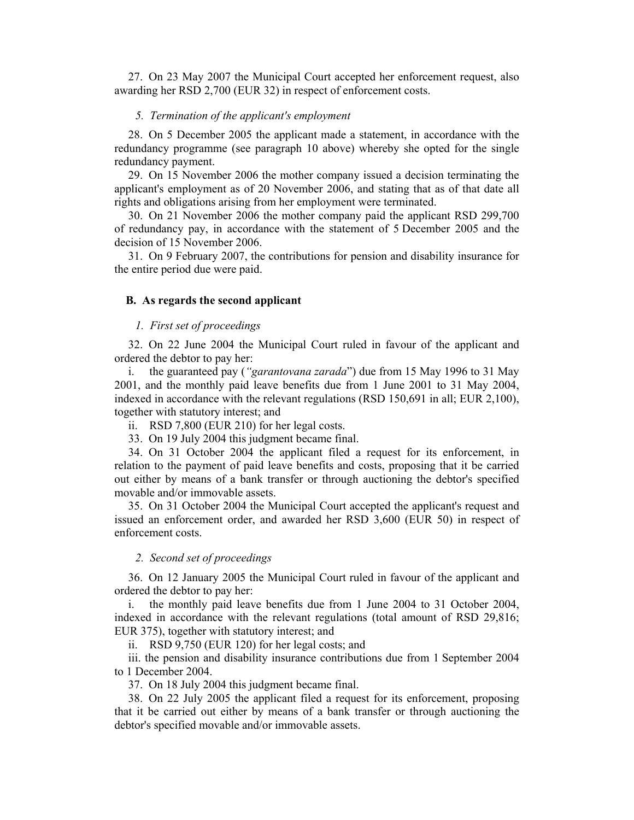27. On 23 May 2007 the Municipal Court accepted her enforcement request, also awarding her RSD 2,700 (EUR 32) in respect of enforcement costs.

## *5. Termination of the applicant's employment*

28. On 5 December 2005 the applicant made a statement, in accordance with the redundancy programme (see paragraph 10 above) whereby she opted for the single redundancy payment.

29. On 15 November 2006 the mother company issued a decision terminating the applicant's employment as of 20 November 2006, and stating that as of that date all rights and obligations arising from her employment were terminated.

30. On 21 November 2006 the mother company paid the applicant RSD 299,700 of redundancy pay, in accordance with the statement of 5 December 2005 and the decision of 15 November 2006.

31. On 9 February 2007, the contributions for pension and disability insurance for the entire period due were paid.

#### **B. As regards the second applicant**

#### *1. First set of proceedings*

32. On 22 June 2004 the Municipal Court ruled in favour of the applicant and ordered the debtor to pay her:

i. the guaranteed pay (*"garantovana zarada*") due from 15 May 1996 to 31 May 2001, and the monthly paid leave benefits due from 1 June 2001 to 31 May 2004, indexed in accordance with the relevant regulations (RSD 150,691 in all; EUR 2,100), together with statutory interest; and

ii. RSD 7,800 (EUR 210) for her legal costs.

33. On 19 July 2004 this judgment became final.

34. On 31 October 2004 the applicant filed a request for its enforcement, in relation to the payment of paid leave benefits and costs, proposing that it be carried out either by means of a bank transfer or through auctioning the debtor's specified movable and/or immovable assets.

35. On 31 October 2004 the Municipal Court accepted the applicant's request and issued an enforcement order, and awarded her RSD 3,600 (EUR 50) in respect of enforcement costs.

## *2. Second set of proceedings*

36. On 12 January 2005 the Municipal Court ruled in favour of the applicant and ordered the debtor to pay her:

i. the monthly paid leave benefits due from 1 June 2004 to 31 October 2004, indexed in accordance with the relevant regulations (total amount of RSD 29,816; EUR 375), together with statutory interest; and

ii. RSD 9,750 (EUR 120) for her legal costs; and

iii. the pension and disability insurance contributions due from 1 September 2004 to 1 December 2004.

37. On 18 July 2004 this judgment became final.

38. On 22 July 2005 the applicant filed a request for its enforcement, proposing that it be carried out either by means of a bank transfer or through auctioning the debtor's specified movable and/or immovable assets.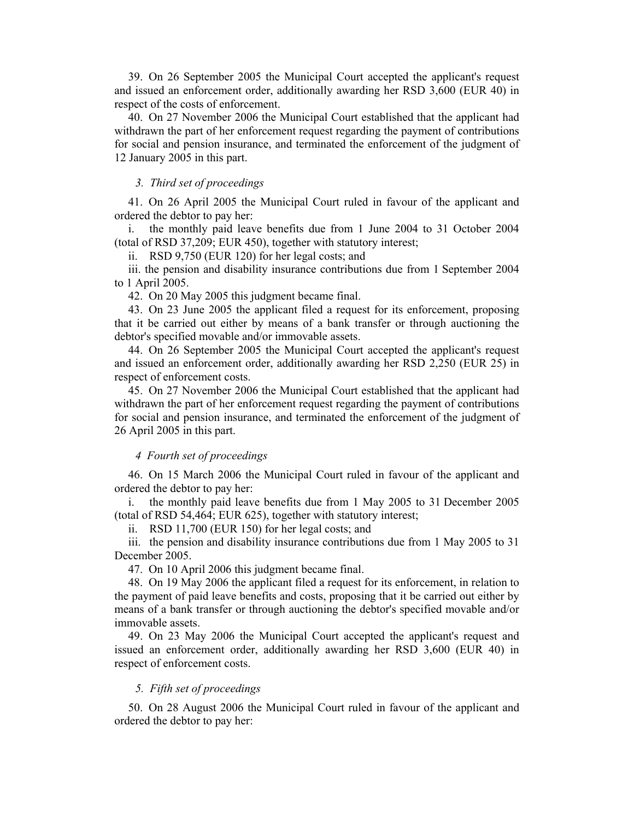39. On 26 September 2005 the Municipal Court accepted the applicant's request and issued an enforcement order, additionally awarding her RSD 3,600 (EUR 40) in respect of the costs of enforcement.

40. On 27 November 2006 the Municipal Court established that the applicant had withdrawn the part of her enforcement request regarding the payment of contributions for social and pension insurance, and terminated the enforcement of the judgment of 12 January 2005 in this part.

## *3. Third set of proceedings*

41. On 26 April 2005 the Municipal Court ruled in favour of the applicant and ordered the debtor to pay her:

i. the monthly paid leave benefits due from 1 June 2004 to 31 October 2004 (total of RSD 37,209; EUR 450), together with statutory interest;

ii. RSD 9,750 (EUR 120) for her legal costs; and

iii. the pension and disability insurance contributions due from 1 September 2004 to 1 April 2005.

42. On 20 May 2005 this judgment became final.

43. On 23 June 2005 the applicant filed a request for its enforcement, proposing that it be carried out either by means of a bank transfer or through auctioning the debtor's specified movable and/or immovable assets.

44. On 26 September 2005 the Municipal Court accepted the applicant's request and issued an enforcement order, additionally awarding her RSD 2,250 (EUR 25) in respect of enforcement costs.

45. On 27 November 2006 the Municipal Court established that the applicant had withdrawn the part of her enforcement request regarding the payment of contributions for social and pension insurance, and terminated the enforcement of the judgment of 26 April 2005 in this part.

## *4 Fourth set of proceedings*

46. On 15 March 2006 the Municipal Court ruled in favour of the applicant and ordered the debtor to pay her:

i. the monthly paid leave benefits due from 1 May 2005 to 31 December 2005 (total of RSD 54,464; EUR 625), together with statutory interest;

ii. RSD 11,700 (EUR 150) for her legal costs; and

iii. the pension and disability insurance contributions due from 1 May 2005 to 31 December 2005.

47. On 10 April 2006 this judgment became final.

48. On 19 May 2006 the applicant filed a request for its enforcement, in relation to the payment of paid leave benefits and costs, proposing that it be carried out either by means of a bank transfer or through auctioning the debtor's specified movable and/or immovable assets.

49. On 23 May 2006 the Municipal Court accepted the applicant's request and issued an enforcement order, additionally awarding her RSD 3,600 (EUR 40) in respect of enforcement costs.

#### *5. Fifth set of proceedings*

50. On 28 August 2006 the Municipal Court ruled in favour of the applicant and ordered the debtor to pay her: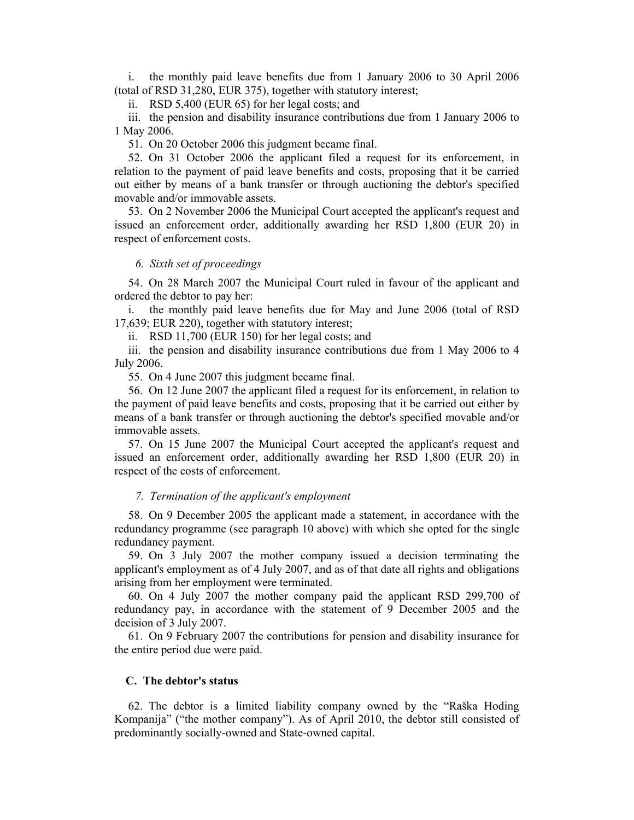i. the monthly paid leave benefits due from 1 January 2006 to 30 April 2006 (total of RSD 31,280, EUR 375), together with statutory interest;

ii. RSD 5,400 (EUR 65) for her legal costs; and

iii. the pension and disability insurance contributions due from 1 January 2006 to 1 May 2006.

51. On 20 October 2006 this judgment became final.

52. On 31 October 2006 the applicant filed a request for its enforcement, in relation to the payment of paid leave benefits and costs, proposing that it be carried out either by means of a bank transfer or through auctioning the debtor's specified movable and/or immovable assets.

53. On 2 November 2006 the Municipal Court accepted the applicant's request and issued an enforcement order, additionally awarding her RSD 1,800 (EUR 20) in respect of enforcement costs.

#### *6. Sixth set of proceedings*

54. On 28 March 2007 the Municipal Court ruled in favour of the applicant and ordered the debtor to pay her:

i. the monthly paid leave benefits due for May and June 2006 (total of RSD 17,639; EUR 220), together with statutory interest;

ii. RSD 11,700 (EUR 150) for her legal costs; and

iii. the pension and disability insurance contributions due from 1 May 2006 to 4 July 2006.

55. On 4 June 2007 this judgment became final.

56. On 12 June 2007 the applicant filed a request for its enforcement, in relation to the payment of paid leave benefits and costs, proposing that it be carried out either by means of a bank transfer or through auctioning the debtor's specified movable and/or immovable assets.

57. On 15 June 2007 the Municipal Court accepted the applicant's request and issued an enforcement order, additionally awarding her RSD 1,800 (EUR 20) in respect of the costs of enforcement.

#### *7. Termination of the applicant's employment*

58. On 9 December 2005 the applicant made a statement, in accordance with the redundancy programme (see paragraph 10 above) with which she opted for the single redundancy payment.

59. On 3 July 2007 the mother company issued a decision terminating the applicant's employment as of 4 July 2007, and as of that date all rights and obligations arising from her employment were terminated.

60. On 4 July 2007 the mother company paid the applicant RSD 299,700 of redundancy pay, in accordance with the statement of 9 December 2005 and the decision of 3 July 2007.

61. On 9 February 2007 the contributions for pension and disability insurance for the entire period due were paid.

### **C. The debtor's status**

62. The debtor is a limited liability company owned by the "Raška Hoding Kompanija" ("the mother company"). As of April 2010, the debtor still consisted of predominantly socially-owned and State-owned capital.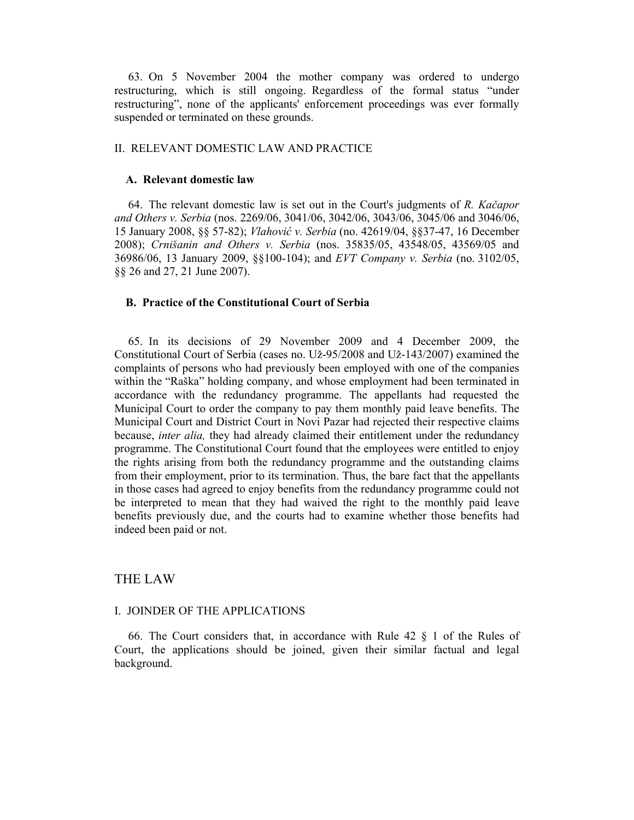63. On 5 November 2004 the mother company was ordered to undergo restructuring, which is still ongoing. Regardless of the formal status "under restructuring", none of the applicants' enforcement proceedings was ever formally suspended or terminated on these grounds.

## II. RELEVANT DOMESTIC LAW AND PRACTICE

#### **A. Relevant domestic law**

64. The relevant domestic law is set out in the Court's judgments of *R. Kačapor and Others v. Serbia* (nos. 2269/06, 3041/06, 3042/06, 3043/06, 3045/06 and 3046/06, 15 January 2008, §§ 57-82); *Vlahović v. Serbia* (no. 42619/04, §§37-47, 16 December 2008); *Crnišanin and Others v. Serbia* (nos. 35835/05, 43548/05, 43569/05 and 36986/06, 13 January 2009, §§100-104); and *EVT Company v. Serbia* (no. 3102/05, §§ 26 and 27, 21 June 2007).

## **B. Practice of the Constitutional Court of Serbia**

65. In its decisions of 29 November 2009 and 4 December 2009, the Constitutional Court of Serbia (cases no. Už-95/2008 and Už-143/2007) examined the complaints of persons who had previously been employed with one of the companies within the "Raška" holding company, and whose employment had been terminated in accordance with the redundancy programme. The appellants had requested the Municipal Court to order the company to pay them monthly paid leave benefits. The Municipal Court and District Court in Novi Pazar had rejected their respective claims because, *inter alia,* they had already claimed their entitlement under the redundancy programme. The Constitutional Court found that the employees were entitled to enjoy the rights arising from both the redundancy programme and the outstanding claims from their employment, prior to its termination. Thus, the bare fact that the appellants in those cases had agreed to enjoy benefits from the redundancy programme could not be interpreted to mean that they had waived the right to the monthly paid leave benefits previously due, and the courts had to examine whether those benefits had indeed been paid or not.

## THE LAW

## I. JOINDER OF THE APPLICATIONS

66. The Court considers that, in accordance with Rule 42 § 1 of the Rules of Court, the applications should be joined, given their similar factual and legal background.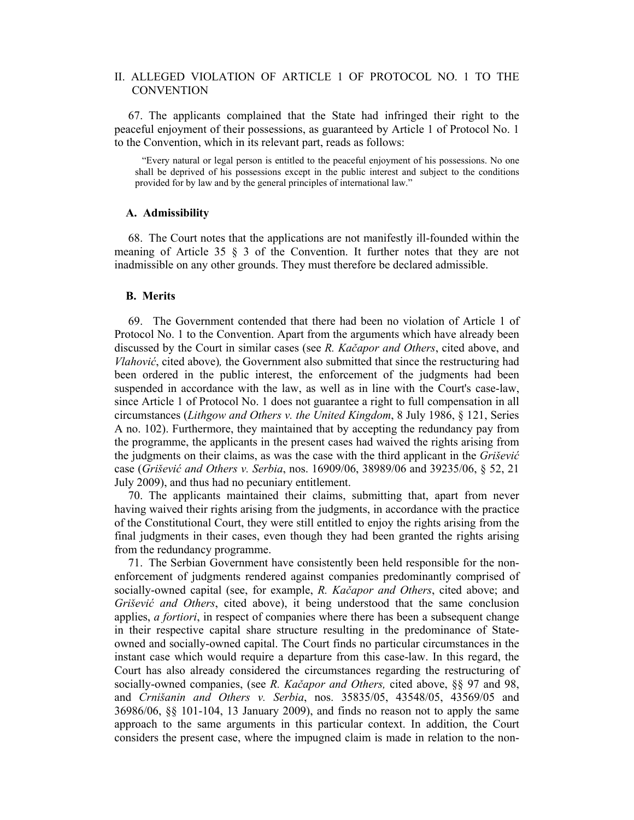## II. ALLEGED VIOLATION OF ARTICLE 1 OF PROTOCOL NO. 1 TO THE **CONVENTION**

67. The applicants complained that the State had infringed their right to the peaceful enjoyment of their possessions, as guaranteed by Article 1 of Protocol No. 1 to the Convention, which in its relevant part, reads as follows:

"Every natural or legal person is entitled to the peaceful enjoyment of his possessions. No one shall be deprived of his possessions except in the public interest and subject to the conditions provided for by law and by the general principles of international law."

### **A. Admissibility**

68. The Court notes that the applications are not manifestly ill-founded within the meaning of Article 35 § 3 of the Convention. It further notes that they are not inadmissible on any other grounds. They must therefore be declared admissible.

## **B. Merits**

69. The Government contended that there had been no violation of Article 1 of Protocol No. 1 to the Convention. Apart from the arguments which have already been discussed by the Court in similar cases (see *R. Kačapor and Others*, cited above, and *Vlahović*, cited above)*,* the Government also submitted that since the restructuring had been ordered in the public interest, the enforcement of the judgments had been suspended in accordance with the law, as well as in line with the Court's case-law, since Article 1 of Protocol No. 1 does not guarantee a right to full compensation in all circumstances (*Lithgow and Others v. the United Kingdom*, 8 July 1986, § 121, Series A no. 102). Furthermore, they maintained that by accepting the redundancy pay from the programme, the applicants in the present cases had waived the rights arising from the judgments on their claims, as was the case with the third applicant in the *Grišević* case (*Grišević and Others v. Serbia*, nos. 16909/06, 38989/06 and 39235/06, § 52, 21 July 2009), and thus had no pecuniary entitlement.

70. The applicants maintained their claims, submitting that, apart from never having waived their rights arising from the judgments, in accordance with the practice of the Constitutional Court, they were still entitled to enjoy the rights arising from the final judgments in their cases, even though they had been granted the rights arising from the redundancy programme.

71. The Serbian Government have consistently been held responsible for the nonenforcement of judgments rendered against companies predominantly comprised of socially-owned capital (see, for example, *R. Kačapor and Others*, cited above; and *Grišević and Others*, cited above), it being understood that the same conclusion applies, *a fortiori*, in respect of companies where there has been a subsequent change in their respective capital share structure resulting in the predominance of Stateowned and socially-owned capital. The Court finds no particular circumstances in the instant case which would require a departure from this case-law. In this regard, the Court has also already considered the circumstances regarding the restructuring of socially-owned companies, (see *R. Kačapor and Others,* cited above, §§ 97 and 98, and *Crnišanin and Others v. Serbia*, nos. 35835/05, 43548/05, 43569/05 and 36986/06, §§ 101-104, 13 January 2009), and finds no reason not to apply the same approach to the same arguments in this particular context. In addition, the Court considers the present case, where the impugned claim is made in relation to the non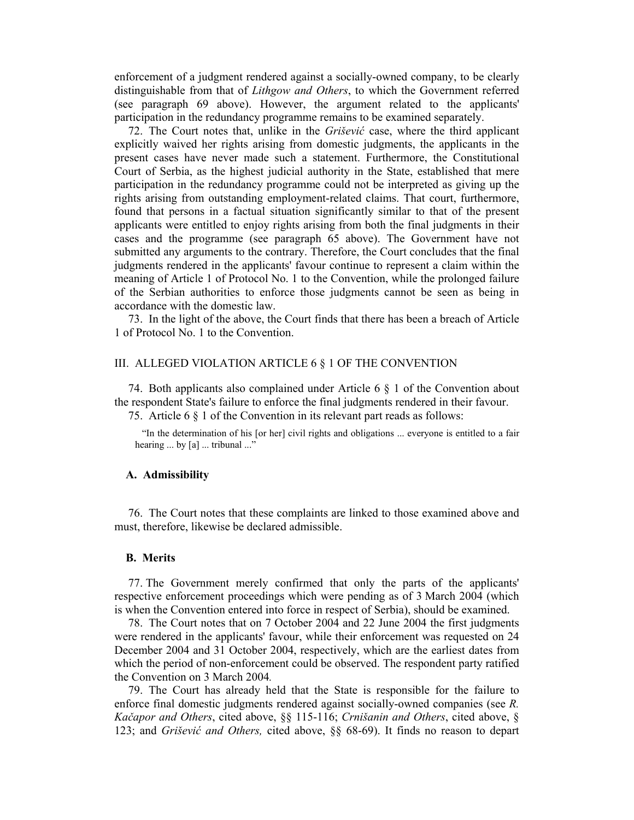enforcement of a judgment rendered against a socially-owned company, to be clearly distinguishable from that of *Lithgow and Others*, to which the Government referred (see paragraph 69 above). However, the argument related to the applicants' participation in the redundancy programme remains to be examined separately.

72. The Court notes that, unlike in the *Grišević* case, where the third applicant explicitly waived her rights arising from domestic judgments, the applicants in the present cases have never made such a statement. Furthermore, the Constitutional Court of Serbia, as the highest judicial authority in the State, established that mere participation in the redundancy programme could not be interpreted as giving up the rights arising from outstanding employment-related claims. That court, furthermore, found that persons in a factual situation significantly similar to that of the present applicants were entitled to enjoy rights arising from both the final judgments in their cases and the programme (see paragraph 65 above). The Government have not submitted any arguments to the contrary. Therefore, the Court concludes that the final judgments rendered in the applicants' favour continue to represent a claim within the meaning of Article 1 of Protocol No. 1 to the Convention, while the prolonged failure of the Serbian authorities to enforce those judgments cannot be seen as being in accordance with the domestic law.

73. In the light of the above, the Court finds that there has been a breach of Article 1 of Protocol No. 1 to the Convention.

#### III. ALLEGED VIOLATION ARTICLE 6 § 1 OF THE CONVENTION

74. Both applicants also complained under Article 6 § 1 of the Convention about the respondent State's failure to enforce the final judgments rendered in their favour.

75. Article 6 § 1 of the Convention in its relevant part reads as follows:

"In the determination of his [or her] civil rights and obligations ... everyone is entitled to a fair hearing ... by [a] ... tribunal ..."

## **A. Admissibility**

76. The Court notes that these complaints are linked to those examined above and must, therefore, likewise be declared admissible.

## **B. Merits**

77. The Government merely confirmed that only the parts of the applicants' respective enforcement proceedings which were pending as of 3 March 2004 (which is when the Convention entered into force in respect of Serbia), should be examined.

78. The Court notes that on 7 October 2004 and 22 June 2004 the first judgments were rendered in the applicants' favour, while their enforcement was requested on 24 December 2004 and 31 October 2004, respectively, which are the earliest dates from which the period of non-enforcement could be observed. The respondent party ratified the Convention on 3 March 2004*.* 

79. The Court has already held that the State is responsible for the failure to enforce final domestic judgments rendered against socially-owned companies (see *R. Kačapor and Others*, cited above, §§ 115-116; *Crnišanin and Others*, cited above, § 123; and *Grišević and Others,* cited above, §§ 68-69). It finds no reason to depart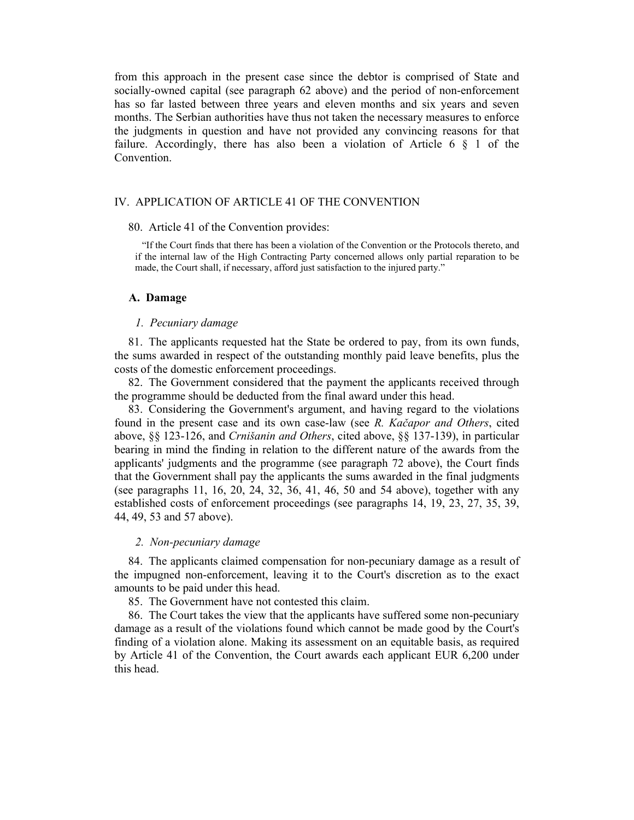from this approach in the present case since the debtor is comprised of State and socially-owned capital (see paragraph 62 above) and the period of non-enforcement has so far lasted between three years and eleven months and six years and seven months. The Serbian authorities have thus not taken the necessary measures to enforce the judgments in question and have not provided any convincing reasons for that failure. Accordingly, there has also been a violation of Article 6  $\S$  1 of the Convention.

## IV. APPLICATION OF ARTICLE 41 OF THE CONVENTION

## 80. Article 41 of the Convention provides:

"If the Court finds that there has been a violation of the Convention or the Protocols thereto, and if the internal law of the High Contracting Party concerned allows only partial reparation to be made, the Court shall, if necessary, afford just satisfaction to the injured party."

#### **A. Damage**

#### *1. Pecuniary damage*

81. The applicants requested hat the State be ordered to pay, from its own funds, the sums awarded in respect of the outstanding monthly paid leave benefits, plus the costs of the domestic enforcement proceedings.

82. The Government considered that the payment the applicants received through the programme should be deducted from the final award under this head.

83. Considering the Government's argument, and having regard to the violations found in the present case and its own case-law (see *R. Kačapor and Others*, cited above, §§ 123-126, and *Crnišanin and Others*, cited above, §§ 137-139), in particular bearing in mind the finding in relation to the different nature of the awards from the applicants' judgments and the programme (see paragraph 72 above), the Court finds that the Government shall pay the applicants the sums awarded in the final judgments (see paragraphs 11, 16, 20, 24, 32, 36, 41, 46, 50 and 54 above), together with any established costs of enforcement proceedings (see paragraphs 14, 19, 23, 27, 35, 39, 44, 49, 53 and 57 above).

#### *2. Non-pecuniary damage*

84. The applicants claimed compensation for non-pecuniary damage as a result of the impugned non-enforcement, leaving it to the Court's discretion as to the exact amounts to be paid under this head.

85. The Government have not contested this claim.

86. The Court takes the view that the applicants have suffered some non-pecuniary damage as a result of the violations found which cannot be made good by the Court's finding of a violation alone. Making its assessment on an equitable basis, as required by Article 41 of the Convention, the Court awards each applicant EUR 6,200 under this head.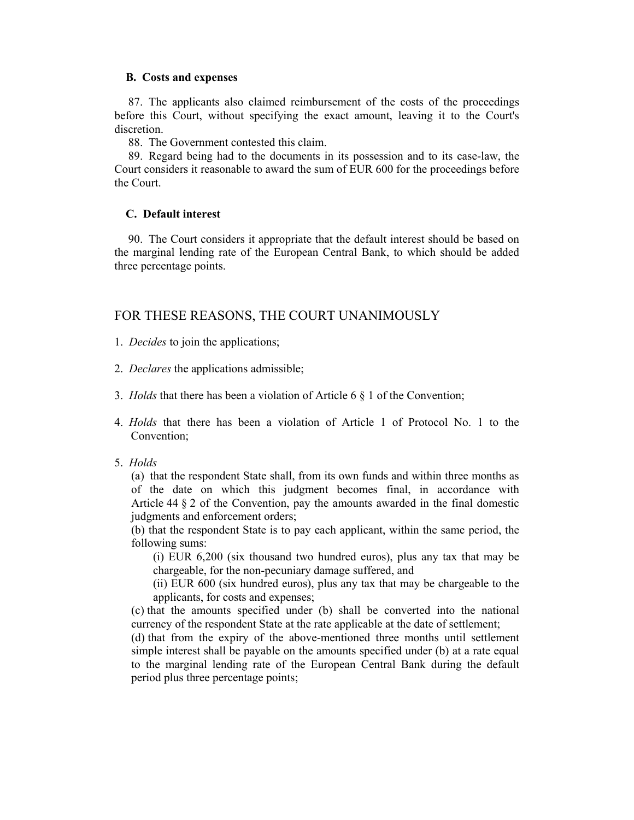## **B. Costs and expenses**

87. The applicants also claimed reimbursement of the costs of the proceedings before this Court, without specifying the exact amount, leaving it to the Court's discretion.

88. The Government contested this claim.

89. Regard being had to the documents in its possession and to its case-law, the Court considers it reasonable to award the sum of EUR 600 for the proceedings before the Court.

## **C. Default interest**

90. The Court considers it appropriate that the default interest should be based on the marginal lending rate of the European Central Bank, to which should be added three percentage points.

## FOR THESE REASONS, THE COURT UNANIMOUSLY

1. *Decides* to join the applications;

2. *Declares* the applications admissible;

3. *Holds* that there has been a violation of Article 6 § 1 of the Convention;

4. *Holds* that there has been a violation of Article 1 of Protocol No. 1 to the Convention;

## 5. *Holds*

(a) that the respondent State shall, from its own funds and within three months as of the date on which this judgment becomes final, in accordance with Article  $44 \& 2$  of the Convention, pay the amounts awarded in the final domestic judgments and enforcement orders;

(b) that the respondent State is to pay each applicant, within the same period, the following sums:

(i) EUR 6,200 (six thousand two hundred euros), plus any tax that may be chargeable, for the non-pecuniary damage suffered, and

(ii) EUR 600 (six hundred euros), plus any tax that may be chargeable to the applicants, for costs and expenses;

(c) that the amounts specified under (b) shall be converted into the national currency of the respondent State at the rate applicable at the date of settlement;

(d) that from the expiry of the above-mentioned three months until settlement simple interest shall be payable on the amounts specified under (b) at a rate equal to the marginal lending rate of the European Central Bank during the default period plus three percentage points;